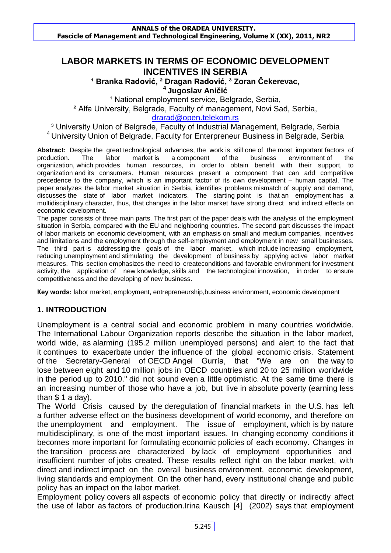# **LABOR MARKETS IN TERMS OF ECONOMIC DEVELOPMENT INCENTIVES IN SERBIA**

**¹ Branka Radović, ² Dragan Radović, ³ Zoran Čekerevac, <sup>4</sup>Jugoslav Aničić**

<sup>1</sup> National employment service, Belgrade, Serbia, ² Alfa University, Belgrade, Faculty of management, Novi Sad, Serbia, [drarad@open.telekom.rs](mailto:drarad@open.telekom.rs)

<sup>3</sup> University Union of Belgrade, Faculty of Industrial Management, Belgrade, Serbia <sup>4</sup> University Union of Belgrade, Faculty for Enterpreneur Business in Belgrade, Serbia

**Abstract:** Despite the great technological advances, the work is still one of the most important factors of production. The labor market is a component of the business environment of the organization, which provides human resources, in order to obtain benefit with their support, to organization and its consumers. Human resources present a component that can add competitive precedence to the company, which is an important factor of its own development – human capital. The paper analyzes the labor market situation in Serbia, identifies problems mismatch of supply and demand, discusses the state of labor market indicators. The starting point is that an employment has a multidisciplinary character, thus, that changes in the labor market have strong direct and indirect effects on economic development.

The paper consists of three main parts. The first part of the paper deals with the analysis of the employment situation in Serbia, compared with the EU and neighboring countries. The second part discusses the impact of labor markets on economic development, with an emphasis on small and medium companies, incentives and limitations and the employment through the self-employment and employment in new small businesses. The third part is addressing the goals of the labor market, which include increasing employment, reducing unemployment and stimulating the development of business by applying active labor market measures. This section emphasizes the need to createconditions and favorable environment for investment activity, the application of new knowledge, skills and the technological innovation, in order to ensure competitiveness and the developing of new business.

**Кey words:** labor market, employment, entrepreneurship,business environment, economic development

# **1. INTRODUCTION**

Unemployment is a central social and economic problem in many countries worldwide. The International Labour Organization reports describe the situation in the labor market, world wide, as alarming (195.2 million unemployed persons) and alert to the fact that it continues to exacerbate under the influence of the global economic crisis. Statement of the Secretary-General of OECD Angel Gurría, that "We are on the way to lose between eight and 10 million jobs in OECD countries and 20 to 25 million worldwide in the period up to 2010." did not sound even a little optimistic. At the same time there is an increasing number of those who have a job, but live in absolute poverty (earning less than  $$ 1 a day$ .

The World Crisis caused by the deregulation of financial markets in the U.S. has left a further adverse effect on the business development of world economy, and therefore on the unemployment and employment. The issue of employment, which is by nature multidisciplinary, is one of the most important issues. In changing economy conditions it becomes more important for formulating economic policies of each economy. Changes in the transition process are characterized by lack of employment opportunities and insufficient number of jobs created. These results reflect right on the labor market, with direct and indirect impact on the overall business environment, economic development, living standards and employment. On the other hand, every institutional change and public policy has an impact on the labor market.

Employment policy covers all aspects of economic policy that directly or indirectly affect the use of labor as factors of production.Irina Kausch [4] (2002) says that employment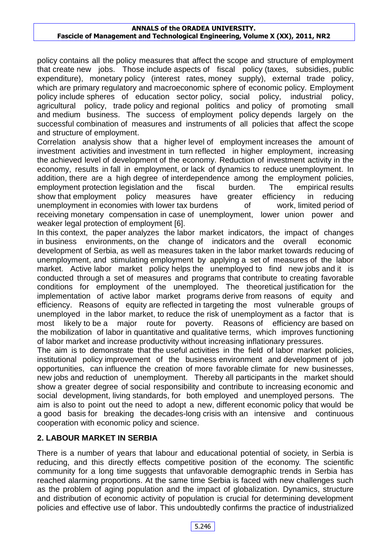policy contains all the policy measures that affect the scope and structure of employment that create new jobs. Those include aspects of fiscal policy (taxes, subsidies, public expenditure), monetary policy (interest rates, money supply), external trade policy, which are primary regulatory and macroeconomic sphere of economic policy. Employment policy include spheres of education sector policy, social policy, industrial policy, agricultural policy, trade policy and regional politics and policy of promoting small and medium business. The success of employment policy depends largely on the successful combination of measures and instruments of all policies that affect the scope and structure of employment.

Correlation analysis show that a higher level of employment increases the amount of investment activities and investment in turn reflected in higher employment, increasing the achieved level of development of the economy. Reduction of investment activity in the economy, results in fall in employment, or lack of dynamics to reduce unemployment. In addition, there are a high degree of interdependence among the employment policies, employment protection legislation and the fiscal burden. The empirical results show that employment policy measures have greater efficiency in reducing unemployment in economies with lower tax burdens of work, limited period of receiving monetary compensation in case of unemployment, lower union power and weaker legal protection of employment [6].

In this context, the paper analyzes the labor market indicators, the impact of changes in business environments, on the change of indicators and the overall economic development of Serbia, as well as measures taken in the labor market towards reducing of unemployment, and stimulating employment by applying a set of measures of the labor market. Active labor market policy helps the unemployed to find new jobs and it is conducted through a set of measures and programs that contribute to creating favorable conditions for employment of the unemployed. The theoretical justification for the implementation of active labor market programs derive from reasons of equity and efficiency. Reasons of equity are reflected in targeting the most vulnerable groups of unemployed in the labor market, to reduce the risk of unemployment as a factor that is most likely to be a major route for poverty. Reasons of efficiency are based on the mobilization of labor in quantitative and qualitative terms, which improves functioning of labor market and increase productivity without increasing inflationary pressures.

The aim is to demonstrate that the useful activities in the field of labor market policies, institutional policy improvement of the business environment and development of job opportunities, can influence the creation of more favorable climate for new businesses, new jobs and reduction of unemployment. Thereby all participants in the market should show a greater degree of social responsibility and contribute to increasing economic and social development, living standards, for both employed and unemployed persons. The aim is also to point out the need to adopt a new, different economic policy that would be a good basis for breaking the decades-long crisis with an intensive and continuous cooperation with economic policy and science.

### **2. LABOUR MARKET IN SERBIA**

There is a number of years that labour and educational potential of society, in Serbia is reducing, and this directly effects competitive position of the economy. The scientific community for a long time suggests that unfavorable demographic trends in Serbia has reached alarming proportions. At the same time Serbia is faced with new challenges such as the problem of aging population and the impact of globalization. Dynamics, structure and distribution of economic activity of population is crucial for determining development policies and effective use of labor. This undoubtedly confirms the practice of industrialized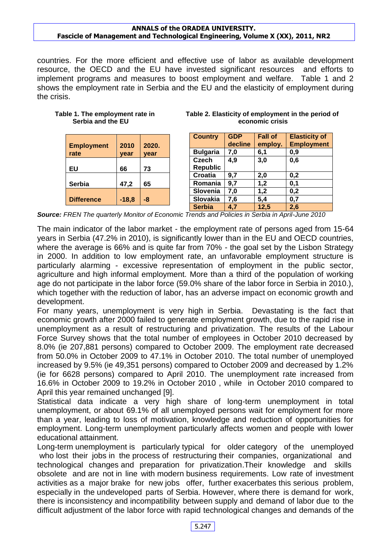countries. For the more efficient and effective use of labor as available development resource, the OECD and the EU have invested significant resources and efforts to implement programs and measures to boost employment and welfare. Table 1 and 2 shows the employment rate in Serbia and the EU and the elasticity of employment during the crisis.

|  | $1400$ $1110$ $011$ $010$ $1100$ $110$<br>Serbia and the EU |  |
|--|-------------------------------------------------------------|--|
|  |                                                             |  |

| <b>Employment</b><br>rate | 2010<br>vear | 2020.<br>year |
|---------------------------|--------------|---------------|
| EU                        | 66           | 73            |
| Serbia                    | 47,2         | 65            |
| <b>Difference</b>         | $-18,8$      | -8            |

#### **Table 1. The employment rate in Table 2. Elasticity of employment in the period of economic crisis**

| <b>Country</b>  | <b>GDP</b> | <b>Fall of</b> | <b>Elasticity of</b> |
|-----------------|------------|----------------|----------------------|
|                 | decline    | employ.        | <b>Employment</b>    |
| <b>Bulgaria</b> | 7,0        | 6,1            | 0,9                  |
| <b>Czech</b>    | 4.9        | 3,0            | 0,6                  |
| <b>Republic</b> |            |                |                      |
| <b>Croatia</b>  | 9,7        | 2,0            | 0,2                  |
| Romania         | 9,7        | 1,2            | 0,1                  |
| Slovenia        | 7,0        | 1,2            | 0,2                  |
| Slovakia        | 7,6        | 5,4            | 0,7                  |
| <b>Serbia</b>   | 4,7        | 12,5           | 2,6                  |

*Source: FREN The quarterly Monitor of Economic Trends and Policies in Serbia in April-June 2010*

The main indicator of the labor market - the employment rate of persons aged from 15-64 years in Serbia (47.2% in 2010), is significantly lower than in the EU and OECD countries, where the average is 66% and is quite far from 70% - the goal set by the Lisbon Strategy in 2000. In addition to low employment rate, an unfavorable employment structure is particularly alarming - excessive representation of employment in the public sector, agriculture and high informal employment. More than a third of the population of working age do not participate in the labor force (59.0% share of the labor force in Serbia in 2010.), which together with the reduction of labor, has an adverse impact on economic growth and development.

For many years, unemployment is very high in Serbia. Devastating is the fact that economic growth after 2000 failed to generate employment growth, due to the rapid rise in unemployment as a result of restructuring and privatization. The results of the Labour Force Survey shows that the total number of employees in October 2010 decreased by 8.0% (ie 207,881 persons) compared to October 2009. The employment rate decreased from 50.0% in October 2009 to 47.1% in October 2010. The total number of unemployed increased by 9.5% (ie 49,351 persons) compared to October 2009 and decreased by 1.2% (ie for 6628 persons) compared to April 2010. The unemployment rate increased from 16.6% in October 2009 to 19.2% in October 2010 , while in October 2010 compared to April this year remained unchanged [9].

Statistical data indicate a very high share of long-term unemployment in total unemployment, or about 69.1% of all unemployed persons wait for employment for more than a year, leading to loss of motivation, knowledge and reduction of opportunities for employment. Long-term unemployment particularly affects women and people with lower educational attainment.

Long-term unemployment is particularly typical for older category of the unemployed who lost their jobs in the process of restructuring their companies, organizational and technological changes and preparation for privatization.Their knowledge and skills obsolete and are not in line with modern business requirements. Low rate of investment activities as a major brake for new jobs offer, further exacerbates this serious problem, especially in the undeveloped parts of Serbia. However, where there is demand for work, there is inconsistency and incompatibility between supply and demand of labor due to the difficult adjustment of the labor force with rapid technological changes and demands of the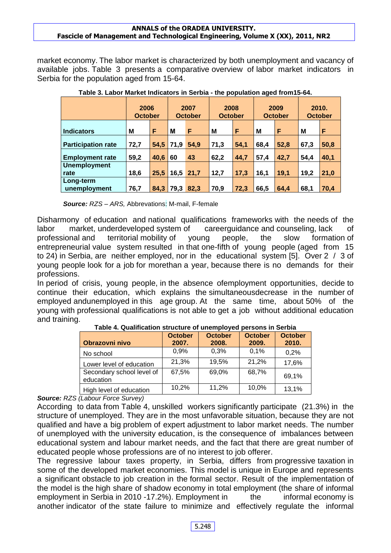market economy. The labor market is characterized by both unemployment and vacancy of available jobs. Table 3 presents a comparative overview of labor market indicators in Serbia for the population aged from 15-64.

|                             | 2006<br><b>October</b> |      |      | 2007<br><b>October</b> | 2008<br><b>October</b> |      |      | 2009<br><b>October</b> |      | 2010.<br><b>October</b> |
|-----------------------------|------------------------|------|------|------------------------|------------------------|------|------|------------------------|------|-------------------------|
| <b>Indicators</b>           | M                      | F    | M    | F                      | M                      | F    | M    | F                      | M    | F                       |
| <b>Participation rate</b>   | 72,7                   | 54,5 | 71,9 | 54,9                   | 71,3                   | 54,1 | 68,4 | 52,8                   | 67,3 | 50,8                    |
| <b>Employment rate</b>      | 59,2                   | 40,6 | 60   | 43                     | 62,2                   | 44,7 | 57,4 | 42,7                   | 54,4 | 40,1                    |
| <b>Unemployment</b><br>rate | 18,6                   | 25,5 |      | $16,5$ 21,7            | 12,7                   | 17,3 | 16,1 | 19,1                   | 19,2 | 21,0                    |
| Long-term<br>unemployment   | 76,7                   | 84,3 | 79,3 | 82.3                   | 70,9                   | 72,3 | 66,5 | 64,4                   | 68,1 | 70,4                    |

### **Table 3. Labor Market Indicators in Serbia - the population aged from15-64.**

*Source: RZS – ARS,* Abbrevations: M-mail, F-female

Disharmony of education and national qualifications frameworks with the needs of the labor market, underdeveloped system of careerguidance and counseling, lack of professional and territorial mobility of young people, the slow formation of entrepreneurial value system resulted in that one-fifth of young people (aged from 15 to 24) in Serbia, are neither employed, nor in the educational system [5]. Over 2 / 3 of young people look for a job for morethan a year, because there is no demands for their professions.

In period of crisis, young people, in the absence ofemployment opportunities, decide to continue their education, which explains the simultaneousdecrease in the number of employed andunemployed in this age group. At the same time, about 50% of the young with professional qualifications is not able to get a job without additional education and training.

| Obrazovni nivo                         | <b>October</b><br>2007. | <b>October</b><br>2008. | <b>October</b><br>2009. | <b>October</b><br>2010. |
|----------------------------------------|-------------------------|-------------------------|-------------------------|-------------------------|
| No school                              | 0.9%                    | 0,3%                    | 0,1%                    | 0,2%                    |
| Lower level of education               | 21,3%                   | 19,5%                   | 21,2%                   | 17,6%                   |
| Secondary school level of<br>education | 67,5%                   | 69.0%                   | 68,7%                   | 69,1%                   |
| High level of education                | 10,2%                   | 11,2%                   | 10,0%                   | 13,1%                   |

### **Table 4. Qualification structure of unemployed persons in Serbia**

*Source: RZS (Labour Force Survey)*

According to data from Table 4, unskilled workers significantly participate (21.3%) in the structure of unemployed. They are in the most unfavorable situation, because they are not qualified and have a big problem of expert adjustment to labor market needs. The number of unemployed with the university education, is the consequence of imbalances between educational system and labour market needs, and the fact that there are great number of educated people whose professions are of no interest to job offerer.

The regressive labour taxes property, in Serbia, differs from progressive taxation in some of the developed market economies. This model is unique in Europe and represents a significant obstacle to job creation in the formal sector. Result of the implementation of the model is the high share of shadow economy in total employment (the share of informal employment in Serbia in 2010 -17.2%). Employment in the informal economy is another indicator of the state failure to minimize and effectively regulate the informal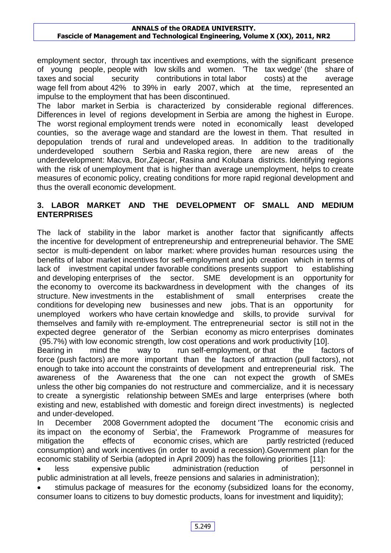employment sector, through tax incentives and exemptions, with the significant presence of young people, people with low skills and women. 'The tax wedge' (the share of taxes and social security contributions in total labor costs) at the average wage fell from about 42% to 39% in early 2007, which at the time, represented an impulse to the employment that has been discontinued.

The labor market in Serbia is characterized by considerable regional differences. Differences in level of regions development in Serbia are among the highest in Europe. The worst regional employment trends were noted in economically least developed counties, so the average wage and standard are the lowest in them. That resulted in depopulation trends of rural and undeveloped areas. In addition to the traditionally underdeveloped southern Serbia and Raska region, there are new areas of the underdevelopment: Macva, Bor,Zajecar, Rasina and Kolubara districts. Identifying regions with the risk of unemployment that is higher than average unemployment, helps to create measures of economic policy, creating conditions for more rapid regional development and thus the overall economic development.

### **3. LABOR MARKET AND THE DEVELOPMENT OF SMALL AND MEDIUM ENTERPRISES**

The lack of stability in the labor market is another factor that significantly affects the incentive for development of entrepreneurship and entrepreneurial behavior. The SME sector is multi-dependent on labor market: where provides human resources using the benefits of labor market incentives for self-employment and job creation which in terms of lack of investment capital under favorable conditions presents support to establishing and developing enterprises of the sector. SME development is an opportunity for the economy to overcome its backwardness in development with the changes of its structure. New investments in the establishment of small enterprises create the conditions for developing new businesses and new jobs. That is an opportunity for unemployed workers who have certain knowledge and skills, to provide survival for themselves and family with re-employment. The entrepreneurial sector is still not in the expected degree generator of the Serbian economy as micro enterprises dominates (95.7%) with low economic strength, low cost operations and work productivity [10].

Bearing in mind the way to run self-employment, or that the factors of force (push factors) are more important than the factors of attraction (pull factors), not enough to take into account the constraints of development and entrepreneurial risk. The awareness of the Awareness that the one can not expect the growth of SMEs unless the other big companies do not restructure and commercialize, and it is necessary to create a synergistic relationship between SMEs and large enterprises (where both existing and new, established with domestic and foreign direct investments) is neglected and under-developed.

In December 2008 Government adopted the document 'The economic crisis and its impact on the economy of Serbia', the Framework Programme of measures for mitigation the effects of economic crises, which are partly restricted (reduced consumption) and work incentives (in order to avoid a recession).Government plan for the economic stability of Serbia (adopted in April 2009) has the following priorities [11]:

 less expensive public administration (reduction of personnel in public administration at all levels, freeze pensions and salaries in administration);

 stimulus package of measures for the economy (subsidized loans for the economy, consumer loans to citizens to buy domestic products, loans for investment and liquidity);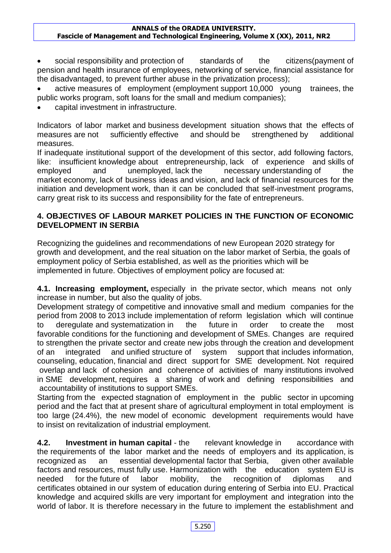social responsibility and protection of standards of the citizens(payment of pension and health insurance of employees, networking of service, financial assistance for the disadvantaged, to prevent further abuse in the privatization process);

 active measures of employment (employment support 10,000 young trainees, the public works program, soft loans for the small and medium companies);

capital investment in infrastructure.

Indicators of labor market and business development situation shows that the effects of measures are not sufficiently effective and should be strengthened by additional measures.

If inadequate institutional support of the development of this sector, add following factors, like: insufficient knowledge about entrepreneurship, lack of experience and skills of employed and unemployed, lack the necessary understanding of the market economy, lack of business ideas and vision, and lack of financial resources for the initiation and development work, than it can be concluded that self-investment programs, carry great risk to its success and responsibility for the fate of entrepreneurs.

### **4. OBJECTIVES OF LABOUR MARKET POLICIES IN THE FUNCTION OF ECONOMIC DEVELOPMENT IN SERBIA**

Recognizing the guidelines and recommendations of new European 2020 strategy for growth and development, and the real situation on the labor market of Serbia, the goals of employment policy of Serbia established, as well as the priorities which will be implemented in future. Objectives of employment policy are focused at:

**4.1. Increasing employment,** especially in the private sector, which means not only increase in number, but also the quality of jobs.

Development strategy of competitive and innovative small and medium companies for the period from 2008 to 2013 include implementation of reform legislation which will continue to deregulate and systematization in the future in order to create the most favorable conditions for the functioning and development of SMEs. Changes are required to strengthen the private sector and create new jobs through the creation and development of an integrated and unified structure of system support that includes information, counseling, education, financial and direct support for SME development. Not required overlap and lack of cohesion and coherence of activities of many institutions involved in SME development, requires a sharing of work and defining responsibilities and accountability of institutions to support SMEs.

Starting from the expected stagnation of employment in the public sector in upcoming period and the fact that at present share of agricultural employment in total employment is too large (24.4%), the new model of economic development requirements would have to insist on revitalization of industrial employment.

**4.2. Investment in human capital** - the relevant knowledge in accordance with the requirements of the labor market and the needs of employers and its application, is recognized as an essential developmental factor that Serbia, given other available factors and resources, must fully use. Harmonization with the education system EU is needed for the future of labor mobility, the recognition of diplomas and certificates obtained in our system of education during entering of Serbia into EU. Practical knowledge and acquired skills are very important for employment and integration into the world of labor. It is therefore necessary in the future to implement the establishment and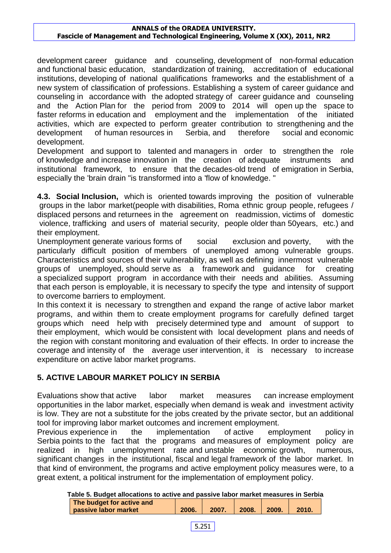development career guidance and counseling, development of non-formal education and functional basic education, standardization of training, accreditation of educational institutions, developing of national qualifications frameworks and the establishment of a new system of classification of professions. Establishing a system of career guidance and counseling in accordance with the adopted strategy of career guidance and counseling and the Action Plan for the period from 2009 to 2014 will open up the space to faster reforms in education and employment and the implementation of the initiated activities, which are expected to perform greater contribution to strengthening and the development of human resources in Serbia, and therefore social and economic development.

Development and support to talented and managers in order to strengthen the role of knowledge and increase innovation in the creation of adequate instruments and institutional framework, to ensure that the decades-old trend of emigration in Serbia, especially the 'brain drain "is transformed into a 'flow of knowledge. "

**4.3. Social Inclusion,** which is oriented towards improving the position of vulnerable groups in the labor market(people with disabilities, Roma ethnic group people, refugees / displaced persons and returnees in the agreement on readmission, victims of domestic violence, trafficking and users of material security, people older than 50years, etc.) and their employment.

Unemployment generate various forms of social exclusion and poverty, with the particularly difficult position of members of unemployed among vulnerable groups. Characteristics and sources of their vulnerability, as well as defining innermost vulnerable groups of unemployed, should serve as a framework and guidance for creating a specialized support program in accordance with their needs and abilities. Assuming that each person is employable, it is necessary to specify the type and intensity of support to overcome barriers to employment.

In this context it is necessary to strengthen and expand the range of active labor market programs, and within them to create employment programs for carefully defined target groups which need help with precisely determined type and amount of support to their employment, which would be consistent with local development plans and needs of the region with constant monitoring and evaluation of their effects. In order to increase the coverage and intensity of the average user intervention, it is necessary to increase expenditure on active labor market programs.

# **5. ACTIVE LABOUR MARKET POLICY IN SERBIA**

Evaluations show that active labor market measures can increase employment opportunities in the labor market, especially when demand is weak and investment activity is low. They are not a substitute for the jobs created by the private sector, but an additional tool for improving labor market outcomes and increment employment.

Previous experience in the implementation of active employment policy in Serbia points to the fact that the programs and measures of employment policy are realized in high unemployment rate and unstable economic growth, numerous, significant changes in the institutional, fiscal and legal framework of the labor market. In that kind of environment, the programs and active employment policy measures were, to a great extent, a political instrument for the implementation of employment policy.

| Table 5. Budget allocations to active and passive labor market measures in Serbia |       |       |       |          |       |
|-----------------------------------------------------------------------------------|-------|-------|-------|----------|-------|
| The budget for active and                                                         |       |       |       |          |       |
| passive labor market                                                              | 2006. | 2007. | 2008. | $-2009.$ | 2010. |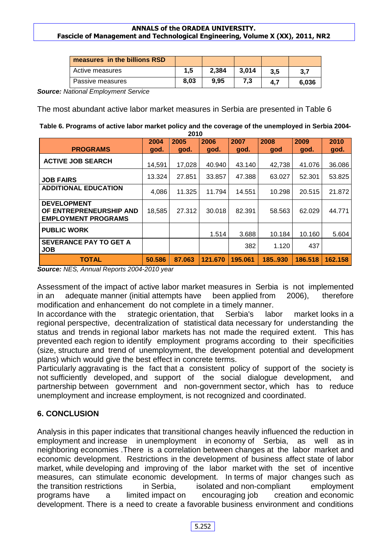| measures in the billions RSD |      |       |       |     |       |
|------------------------------|------|-------|-------|-----|-------|
| Active measures              | 1.5  | 2.384 | 3.014 | 3.5 | 3,7   |
| Passive measures             | 8.03 | 9.95  | 7.3   | 4.7 | 6.036 |

*Source: National Employment Service*

The most abundant active labor market measures in Serbia are presented in Table 6

| Table 6. Programs of active labor market policy and the coverage of the unemployed in Serbia 2004- |
|----------------------------------------------------------------------------------------------------|
| nn 10                                                                                              |

| ZUIU                                                                        |        |        |         |         |        |         |         |  |  |  |  |  |
|-----------------------------------------------------------------------------|--------|--------|---------|---------|--------|---------|---------|--|--|--|--|--|
|                                                                             | 2004   | 2005   | 2006    | 2007    | 2008   | 2009    | 2010    |  |  |  |  |  |
| <b>PROGRAMS</b>                                                             | god.   | god.   | god.    | god.    | god    | god.    | god.    |  |  |  |  |  |
| <b>ACTIVE JOB SEARCH</b>                                                    | 14,591 | 17,028 | 40.940  | 43.140  | 42,738 | 41.076  | 36.086  |  |  |  |  |  |
| <b>JOB FAIRS</b>                                                            | 13.324 | 27.851 | 33.857  | 47.388  | 63.027 | 52.301  | 53.825  |  |  |  |  |  |
| <b>ADDITIONAL EDUCATION</b>                                                 | 4,086  | 11.325 | 11.794  | 14.551  | 10.298 | 20.515  | 21.872  |  |  |  |  |  |
| <b>DEVELOPMENT</b><br>OF ENTREPRENEURSHIP AND<br><b>EMPLOYMENT PROGRAMS</b> | 18,585 | 27.312 | 30.018  | 82.391  | 58.563 | 62.029  | 44.771  |  |  |  |  |  |
| <b>PUBLIC WORK</b>                                                          |        |        | 1.514   | 3.688   | 10.184 | 10.160  | 5.604   |  |  |  |  |  |
| <b>SEVERANCE PAY TO GET A</b><br><b>JOB</b>                                 |        |        |         | 382     | 1.120  | 437     |         |  |  |  |  |  |
| <b>TOTAL</b>                                                                | 50.586 | 87.063 | 121.670 | 195.061 | 185930 | 186.518 | 162.158 |  |  |  |  |  |

*Source: NES, Annual Reports 2004-2010 year*

Assessment of the impact of active labor market measures in Serbia is not implemented in an adequate manner (initial attempts have been applied from 2006), therefore modification and enhancement do not complete in a timely manner.

In accordance with the strategic orientation, that Serbia's labor market looks in a regional perspective, decentralization of statistical data necessary for understanding the status and trends in regional labor markets has not made the required extent. This has prevented each region to identify employment programs according to their specificities (size, structure and trend of unemployment, the development potential and development plans) which would give the best effect in concrete terms.

Particularly aggravating is the fact that a consistent policy of support of the society is not sufficiently developed, and support of the social dialogue development, and partnership between government and non-government sector, which has to reduce unemployment and increase employment, is not recognized and coordinated.

### **6. CONCLUSION**

Analysis in this paper indicates that transitional changes heavily influenced the reduction in employment and increase in unemployment in economy of Serbia, as well as in neighboring economies .There is a correlation between changes at the labor market and economic development. Restrictions in the development of business affect state of labor market, while developing and improving of the labor market with the set of incentive measures, can stimulate economic development. In terms of major changes such as the transition restrictions in Serbia, isolated and non-compliant employment programs have a limited impact on encouraging job creation and economic development. There is a need to create a favorable business environment and conditions